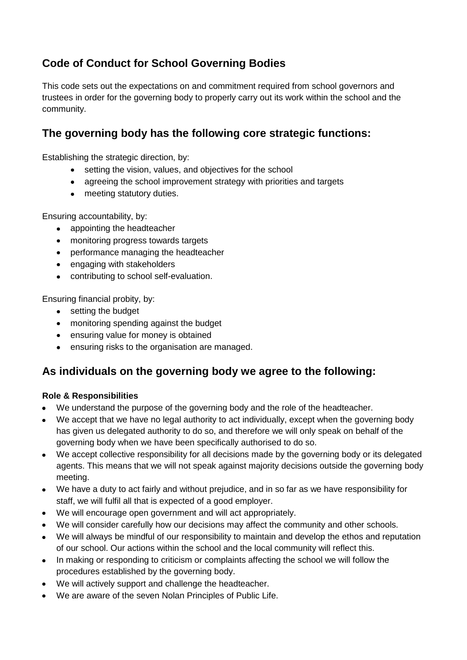# **Code of Conduct for School Governing Bodies**

This code sets out the expectations on and commitment required from school governors and trustees in order for the governing body to properly carry out its work within the school and the community.

### **The governing body has the following core strategic functions:**

Establishing the strategic direction, by:

- setting the vision, values, and objectives for the school
- agreeing the school improvement strategy with priorities and targets
- meeting statutory duties.

Ensuring accountability, by:

- appointing the headteacher
- monitoring progress towards targets
- performance managing the headteacher
- engaging with stakeholders
- contributing to school self-evaluation.

Ensuring financial probity, by:

- setting the budget
- monitoring spending against the budget
- ensuring value for money is obtained
- ensuring risks to the organisation are managed.

### **As individuals on the governing body we agree to the following:**

#### **Role & Responsibilities**

- We understand the purpose of the governing body and the role of the headteacher.
- We accept that we have no legal authority to act individually, except when the governing body has given us delegated authority to do so, and therefore we will only speak on behalf of the governing body when we have been specifically authorised to do so.
- We accept collective responsibility for all decisions made by the governing body or its delegated agents. This means that we will not speak against majority decisions outside the governing body meeting.
- We have a duty to act fairly and without prejudice, and in so far as we have responsibility for staff, we will fulfil all that is expected of a good employer.
- We will encourage open government and will act appropriately.
- We will consider carefully how our decisions may affect the community and other schools.
- We will always be mindful of our responsibility to maintain and develop the ethos and reputation of our school. Our actions within the school and the local community will reflect this.
- In making or responding to criticism or complaints affecting the school we will follow the procedures established by the governing body.
- We will actively support and challenge the headteacher.
- We are aware of the seven Nolan Principles of Public Life.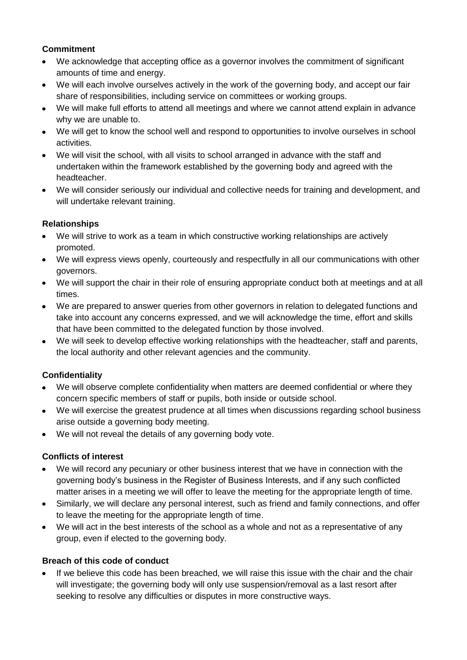#### **Commitment**

- We acknowledge that accepting office as a governor involves the commitment of significant amounts of time and energy.
- We will each involve ourselves actively in the work of the governing body, and accept our fair share of responsibilities, including service on committees or working groups.
- We will make full efforts to attend all meetings and where we cannot attend explain in advance why we are unable to.
- We will get to know the school well and respond to opportunities to involve ourselves in school activities.
- We will visit the school, with all visits to school arranged in advance with the staff and undertaken within the framework established by the governing body and agreed with the headteacher.
- We will consider seriously our individual and collective needs for training and development, and will undertake relevant training.

#### **Relationships**

- We will strive to work as a team in which constructive working relationships are actively promoted.
- We will express views openly, courteously and respectfully in all our communications with other governors.
- We will support the chair in their role of ensuring appropriate conduct both at meetings and at all times.
- We are prepared to answer queries from other governors in relation to delegated functions and take into account any concerns expressed, and we will acknowledge the time, effort and skills that have been committed to the delegated function by those involved.
- We will seek to develop effective working relationships with the headteacher, staff and parents, the local authority and other relevant agencies and the community.

#### **Confidentiality**

- We will observe complete confidentiality when matters are deemed confidential or where they concern specific members of staff or pupils, both inside or outside school.
- We will exercise the greatest prudence at all times when discussions regarding school business arise outside a governing body meeting.
- We will not reveal the details of any governing body vote.

#### **Conflicts of interest**

- We will record any pecuniary or other business interest that we have in connection with the governing body's business in the Register of Business Interests, and if any such conflicted matter arises in a meeting we will offer to leave the meeting for the appropriate length of time.
- Similarly, we will declare any personal interest, such as friend and family connections, and offer to leave the meeting for the appropriate length of time.
- We will act in the best interests of the school as a whole and not as a representative of any group, even if elected to the governing body.

#### **Breach of this code of conduct**

If we believe this code has been breached, we will raise this issue with the chair and the chair will investigate; the governing body will only use suspension/removal as a last resort after seeking to resolve any difficulties or disputes in more constructive ways.